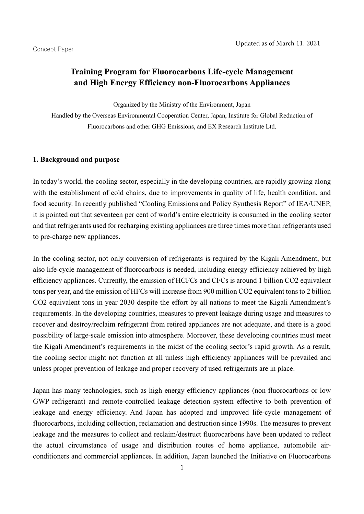# **Training Program for Fluorocarbons Life-cycle Management and High Energy Efficiency non-Fluorocarbons Appliances**

Organized by the Ministry of the Environment, Japan

Handled by the Overseas Environmental Cooperation Center, Japan, Institute for Global Reduction of Fluorocarbons and other GHG Emissions, and EX Research Institute Ltd.

### **1. Background and purpose**

In today's world, the cooling sector, especially in the developing countries, are rapidly growing along with the establishment of cold chains, due to improvements in quality of life, health condition, and food security. In recently published "Cooling Emissions and Policy Synthesis Report" of IEA/UNEP, it is pointed out that seventeen per cent of world's entire electricity is consumed in the cooling sector and that refrigerants used for recharging existing appliances are three times more than refrigerants used to pre-charge new appliances.

In the cooling sector, not only conversion of refrigerants is required by the Kigali Amendment, but also life-cycle management of fluorocarbons is needed, including energy efficiency achieved by high efficiency appliances. Currently, the emission of HCFCs and CFCs is around 1 billion CO2 equivalent tons per year, and the emission of HFCs will increase from 900 million CO2 equivalent tons to 2 billion CO2 equivalent tons in year 2030 despite the effort by all nations to meet the Kigali Amendment's requirements. In the developing countries, measures to prevent leakage during usage and measures to recover and destroy/reclaim refrigerant from retired appliances are not adequate, and there is a good possibility of large-scale emission into atmosphere. Moreover, these developing countries must meet the Kigali Amendment's requirements in the midst of the cooling sector's rapid growth. As a result, the cooling sector might not function at all unless high efficiency appliances will be prevailed and unless proper prevention of leakage and proper recovery of used refrigerants are in place.

Japan has many technologies, such as high energy efficiency appliances (non-fluorocarbons or low GWP refrigerant) and remote-controlled leakage detection system effective to both prevention of leakage and energy efficiency. And Japan has adopted and improved life-cycle management of fluorocarbons, including collection, reclamation and destruction since 1990s. The measures to prevent leakage and the measures to collect and reclaim/destruct fluorocarbons have been updated to reflect the actual circumstance of usage and distribution routes of home appliance, automobile airconditioners and commercial appliances. In addition, Japan launched the Initiative on Fluorocarbons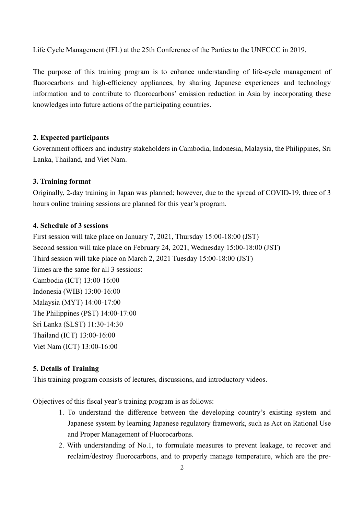Life Cycle Management (IFL) at the 25th Conference of the Parties to the UNFCCC in 2019.

The purpose of this training program is to enhance understanding of life-cycle management of fluorocarbons and high-efficiency appliances, by sharing Japanese experiences and technology information and to contribute to fluorocarbons' emission reduction in Asia by incorporating these knowledges into future actions of the participating countries.

### **2. Expected participants**

Government officers and industry stakeholders in Cambodia, Indonesia, Malaysia, the Philippines, Sri Lanka, Thailand, and Viet Nam.

#### **3. Training format**

Originally, 2-day training in Japan was planned; however, due to the spread of COVID-19, three of 3 hours online training sessions are planned for this year's program.

# **4. Schedule of 3 sessions**

First session will take place on January 7, 2021, Thursday 15:00-18:00 (JST) Second session will take place on February 24, 2021, Wednesday 15:00-18:00 (JST) Third session will take place on March 2, 2021 Tuesday 15:00-18:00 (JST) Times are the same for all 3 sessions: Cambodia (ICT) 13:00-16:00 Indonesia (WIB) 13:00-16:00 Malaysia (MYT) 14:00-17:00 The Philippines (PST) 14:00-17:00 Sri Lanka (SLST) 11:30-14:30 Thailand (ICT) 13:00-16:00 Viet Nam (ICT) 13:00-16:00

# **5. Details of Training**

This training program consists of lectures, discussions, and introductory videos.

Objectives of this fiscal year's training program is as follows:

- 1. To understand the difference between the developing country's existing system and Japanese system by learning Japanese regulatory framework, such as Act on Rational Use and Proper Management of Fluorocarbons.
- 2. With understanding of No.1, to formulate measures to prevent leakage, to recover and reclaim/destroy fluorocarbons, and to properly manage temperature, which are the pre-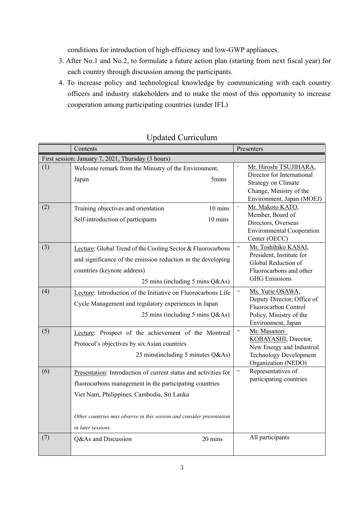conditions for introduction of high-efficiency and low-GWP appliances.

- 3. After No.1 and No.2, to formulate a future action plan (starting from next fiscal year) for each country through discussion among the participants.
- 4. To increase policy and technological knowledge by communicating with each country officers and industry stakeholders and to make the most of this opportunity to increase cooperation among participating countries (under IFL)

|                                                    | Contents                                                                                                                                                                                                                                                                |  | Presenters                                                                                                                                                |  |  |  |  |  |
|----------------------------------------------------|-------------------------------------------------------------------------------------------------------------------------------------------------------------------------------------------------------------------------------------------------------------------------|--|-----------------------------------------------------------------------------------------------------------------------------------------------------------|--|--|--|--|--|
| First session: January 7, 2021, Thursday (3 hours) |                                                                                                                                                                                                                                                                         |  |                                                                                                                                                           |  |  |  |  |  |
| (1)                                                | Welcome remark from the Ministry of the Environment,<br>5mins<br>Japan                                                                                                                                                                                                  |  | Mr. Hiroshi TSUJIHARA,<br>Director for International<br><b>Strategy on Climate</b><br>Change, Ministry of the<br>Environment, Japan (MOEJ)                |  |  |  |  |  |
| (2)                                                | Training objectives and orientation<br>10 mins<br>Self-introduction of participants<br>$10 \text{ mins}$                                                                                                                                                                |  | Mr. Makoto KATO,<br>Member, Board of<br>Directors, Overseas<br><b>Environmental Cooperation</b><br>Center (OECC)                                          |  |  |  |  |  |
| (3)                                                | Lecture: Global Trend of the Cooling Sector & Fluorocarbons<br>and significance of the emission reduction in the developing<br>countries (keynote address)<br>25 mins (including 5 mins Q&As)                                                                           |  | Mr. Toshihiko KASAI,<br>$\qquad \qquad -$<br>President, Institute for<br>Global Reduction of<br>Fluorocarbons and other<br><b>GHG</b> Emissions           |  |  |  |  |  |
| (4)                                                | Lecture: Introduction of the Initiative on Fluorocarbons Life<br>Cycle Management and regulatory experiences in Japan<br>25 mins (including 5 mins Q&As)                                                                                                                |  | Ms. Yurie OSAWA,<br>$\qquad \qquad \longleftarrow$<br>Deputy Director, Office of<br>Fluorocarbon Control<br>Policy, Ministry of the<br>Environment, Japan |  |  |  |  |  |
| (5)                                                | Lecture: Prospect of the achievement of the Montreal<br>Protocol's objectives by six Asian countries<br>25 mins(including 5 minutes Q&As)                                                                                                                               |  | Mr. Masanori<br>KOBAYASHI, Director,<br>New Energy and Industrial<br><b>Technology Development</b><br>Organization (NEDO)                                 |  |  |  |  |  |
| (6)                                                | Presentation: Introduction of current status and activities for<br>fluorocarbons management in the participating countries<br>Viet Nam, Philippines, Cambodia, Sri Lanka<br>Other countries may observe in this session and consider presentation<br>in later sessions. |  | Representatives of<br>$\qquad \qquad -$<br>participating countries                                                                                        |  |  |  |  |  |
| (7)                                                | 20 mins<br>Q&As and Discussion                                                                                                                                                                                                                                          |  | All participants                                                                                                                                          |  |  |  |  |  |

# Updated Curriculum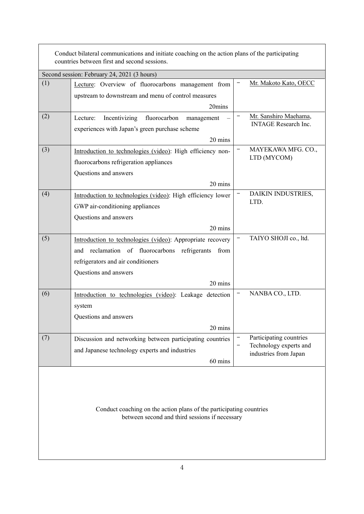| Conduct bilateral communications and initiate coaching on the action plans of the participating<br>countries between first and second sessions. |                                                             |   |                                                 |  |  |
|-------------------------------------------------------------------------------------------------------------------------------------------------|-------------------------------------------------------------|---|-------------------------------------------------|--|--|
| Second session: February 24, 2021 (3 hours)                                                                                                     |                                                             |   |                                                 |  |  |
| (1)                                                                                                                                             | Lecture: Overview of fluorocarbons management from          |   | Mr. Makoto Kato, OECC                           |  |  |
|                                                                                                                                                 | upstream to downstream and menu of control measures         |   |                                                 |  |  |
|                                                                                                                                                 | 20mins                                                      |   |                                                 |  |  |
| (2)                                                                                                                                             | Incentivizing<br>fluorocarbon<br>Lecture:<br>management     |   | Mr. Sanshiro Maehama,                           |  |  |
|                                                                                                                                                 | experiences with Japan's green purchase scheme              |   | <b>INTAGE</b> Research Inc.                     |  |  |
|                                                                                                                                                 | 20 mins                                                     |   |                                                 |  |  |
| (3)                                                                                                                                             | Introduction to technologies (video): High efficiency non-  |   | MAYEKAWA MFG. CO.,                              |  |  |
|                                                                                                                                                 | fluorocarbons refrigeration appliances                      |   | LTD (MYCOM)                                     |  |  |
|                                                                                                                                                 | Questions and answers                                       |   |                                                 |  |  |
|                                                                                                                                                 | 20 mins                                                     |   |                                                 |  |  |
| (4)                                                                                                                                             | Introduction to technologies (video): High efficiency lower |   | DAIKIN INDUSTRIES,                              |  |  |
|                                                                                                                                                 | GWP air-conditioning appliances                             |   | LTD.                                            |  |  |
|                                                                                                                                                 | Questions and answers                                       |   |                                                 |  |  |
|                                                                                                                                                 |                                                             |   |                                                 |  |  |
| (5)                                                                                                                                             | 20 mins                                                     |   | TAIYO SHOJI co., ltd.                           |  |  |
|                                                                                                                                                 | Introduction to technologies (video): Appropriate recovery  |   |                                                 |  |  |
|                                                                                                                                                 | and reclamation of fluorocarbons refrigerants<br>from       |   |                                                 |  |  |
|                                                                                                                                                 | refrigerators and air conditioners                          |   |                                                 |  |  |
|                                                                                                                                                 | Questions and answers                                       |   |                                                 |  |  |
|                                                                                                                                                 | 20 mins                                                     |   |                                                 |  |  |
| (6)                                                                                                                                             | Introduction to technologies (video): Leakage detection     |   | NANBA CO., LTD.                                 |  |  |
|                                                                                                                                                 | system                                                      |   |                                                 |  |  |
|                                                                                                                                                 | Questions and answers                                       |   |                                                 |  |  |
|                                                                                                                                                 | 20 mins                                                     |   |                                                 |  |  |
| (7)                                                                                                                                             | Discussion and networking between participating countries   | - | Participating countries                         |  |  |
|                                                                                                                                                 | and Japanese technology experts and industries              |   | Technology experts and<br>industries from Japan |  |  |
|                                                                                                                                                 | 60 mins                                                     |   |                                                 |  |  |
| Conduct coaching on the action plans of the participating countries<br>between second and third sessions if necessary                           |                                                             |   |                                                 |  |  |

4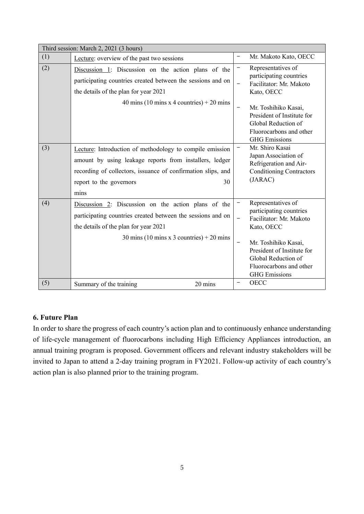| Third session: March 2, 2021 (3 hours) |                                                                                                                                                                                                                              |                                    |                                                                                                                                                                                                                        |  |  |  |  |
|----------------------------------------|------------------------------------------------------------------------------------------------------------------------------------------------------------------------------------------------------------------------------|------------------------------------|------------------------------------------------------------------------------------------------------------------------------------------------------------------------------------------------------------------------|--|--|--|--|
| (1)                                    | Lecture: overview of the past two sessions                                                                                                                                                                                   | -                                  | Mr. Makoto Kato, OECC                                                                                                                                                                                                  |  |  |  |  |
| (2)                                    | Discussion 1: Discussion on the action plans of the<br>participating countries created between the sessions and on<br>the details of the plan for year 2021                                                                  |                                    | Representatives of<br>participating countries<br>Facilitator: Mr. Makoto<br>Kato, OECC                                                                                                                                 |  |  |  |  |
|                                        | 40 mins (10 mins x 4 countries) $+ 20$ mins                                                                                                                                                                                  | $\qquad \qquad -$                  | Mr. Toshihiko Kasai,<br>President of Institute for<br>Global Reduction of<br>Fluorocarbons and other<br><b>GHG</b> Emissions                                                                                           |  |  |  |  |
| (3)                                    | Lecture: Introduction of methodology to compile emission<br>amount by using leakage reports from installers, ledger<br>recording of collectors, issuance of confirmation slips, and<br>30<br>report to the governors<br>mins |                                    | Mr. Shiro Kasai<br>Japan Association of<br>Refrigeration and Air-<br><b>Conditioning Contractors</b><br>(JARAC)                                                                                                        |  |  |  |  |
| (4)                                    | Discussion 2: Discussion on the action plans of the<br>participating countries created between the sessions and on<br>the details of the plan for year 2021<br>30 mins (10 mins x 3 countries) $+ 20$ mins                   | —<br>-<br>$\overline{\phantom{m}}$ | Representatives of<br>participating countries<br>Facilitator: Mr. Makoto<br>Kato, OECC<br>Mr. Toshihiko Kasai,<br>President of Institute for<br>Global Reduction of<br>Fluorocarbons and other<br><b>GHG</b> Emissions |  |  |  |  |
| (5)                                    | Summary of the training<br>20 mins                                                                                                                                                                                           |                                    | <b>OECC</b>                                                                                                                                                                                                            |  |  |  |  |

# **6. Future Plan**

In order to share the progress of each country's action plan and to continuously enhance understanding of life-cycle management of fluorocarbons including High Efficiency Appliances introduction, an annual training program is proposed. Government officers and relevant industry stakeholders will be invited to Japan to attend a 2-day training program in FY2021. Follow-up activity of each country's action plan is also planned prior to the training program.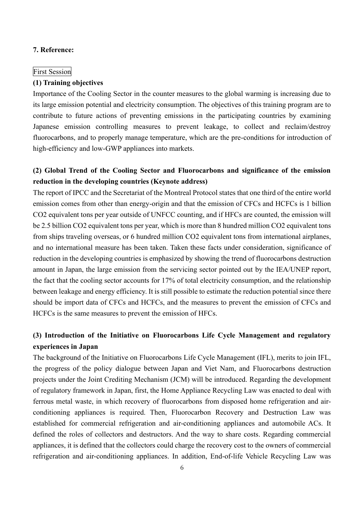### **7. Reference:**

### First Session

### **(1) Training objectives**

Importance of the Cooling Sector in the counter measures to the global warming is increasing due to its large emission potential and electricity consumption. The objectives of this training program are to contribute to future actions of preventing emissions in the participating countries by examining Japanese emission controlling measures to prevent leakage, to collect and reclaim/destroy fluorocarbons, and to properly manage temperature, which are the pre-conditions for introduction of high-efficiency and low-GWP appliances into markets.

# **(2) Global Trend of the Cooling Sector and Fluorocarbons and significance of the emission reduction in the developing countries (Keynote address)**

The report of IPCC and the Secretariat of the Montreal Protocol states that one third of the entire world emission comes from other than energy-origin and that the emission of CFCs and HCFCs is 1 billion CO2 equivalent tons per year outside of UNFCC counting, and if HFCs are counted, the emission will be 2.5 billion CO2 equivalent tons per year, which is more than 8 hundred million CO2 equivalent tons from ships traveling overseas, or 6 hundred million CO2 equivalent tons from international airplanes, and no international measure has been taken. Taken these facts under consideration, significance of reduction in the developing countries is emphasized by showing the trend of fluorocarbons destruction amount in Japan, the large emission from the servicing sector pointed out by the IEA/UNEP report, the fact that the cooling sector accounts for 17% of total electricity consumption, and the relationship between leakage and energy efficiency. It is still possible to estimate the reduction potential since there should be import data of CFCs and HCFCs, and the measures to prevent the emission of CFCs and HCFCs is the same measures to prevent the emission of HFCs.

# **(3) Introduction of the Initiative on Fluorocarbons Life Cycle Management and regulatory experiences in Japan**

The background of the Initiative on Fluorocarbons Life Cycle Management (IFL), merits to join IFL, the progress of the policy dialogue between Japan and Viet Nam, and Fluorocarbons destruction projects under the Joint Crediting Mechanism (JCM) will be introduced. Regarding the development of regulatory framework in Japan, first, the Home Appliance Recycling Law was enacted to deal with ferrous metal waste, in which recovery of fluorocarbons from disposed home refrigeration and airconditioning appliances is required. Then, Fluorocarbon Recovery and Destruction Law was established for commercial refrigeration and air-conditioning appliances and automobile ACs. It defined the roles of collectors and destructors. And the way to share costs. Regarding commercial appliances, it is defined that the collectors could charge the recovery cost to the owners of commercial refrigeration and air-conditioning appliances. In addition, End-of-life Vehicle Recycling Law was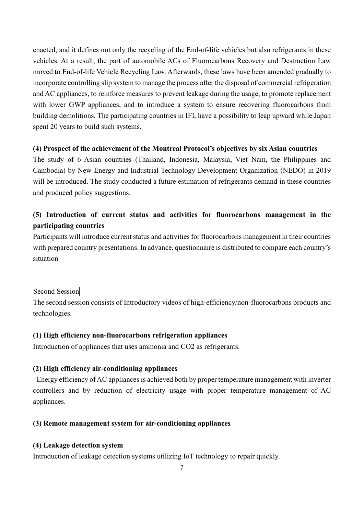enacted, and it defines not only the recycling of the End-of-life vehicles but also refrigerants in these vehicles. At a result, the part of automobile ACs of Fluorocarbons Recovery and Destruction Law moved to End-of-life Vehicle Recycling Law. Afterwards, these laws have been amended gradually to incorporate controlling slip system to manage the process after the disposal of commercial refrigeration and AC appliances, to reinforce measures to prevent leakage during the usage, to promote replacement with lower GWP appliances, and to introduce a system to ensure recovering fluorocarbons from building demolitions. The participating countries in IFL have a possibility to leap upward while Japan spent 20 years to build such systems.

### **(4) Prospect of the achievement of the Montreal Protocol's objectives by six Asian countries**

The study of 6 Asian countries (Thailand, Indonesia, Malaysia, Viet Nam, the Philippines and Cambodia) by New Energy and Industrial Technology Development Organization (NEDO) in 2019 will be introduced. The study conducted a future estimation of refrigerants demand in these countries and produced policy suggestions.

# **(5) Introduction of current status and activities for fluorocarbons management in the participating countries**

Participants will introduce current status and activities for fluorocarbons management in their countries with prepared country presentations. In advance, questionnaire is distributed to compare each country's situation

# Second Session

The second session consists of Introductory videos of high-efficiency/non-fluorocarbons products and technologies.

# **(1) High efficiency non-fluorocarbons refrigeration appliances**

Introduction of appliances that uses ammonia and CO2 as refrigerants.

# **(2) High efficiency air-conditioning appliances**

Energy efficiency of AC appliances is achieved both by proper temperature management with inverter controllers and by reduction of electricity usage with proper temperature management of AC appliances.

### **(3) Remote management system for air-conditioning appliances**

### **(4) Leakage detection system**

Introduction of leakage detection systems utilizing IoT technology to repair quickly.